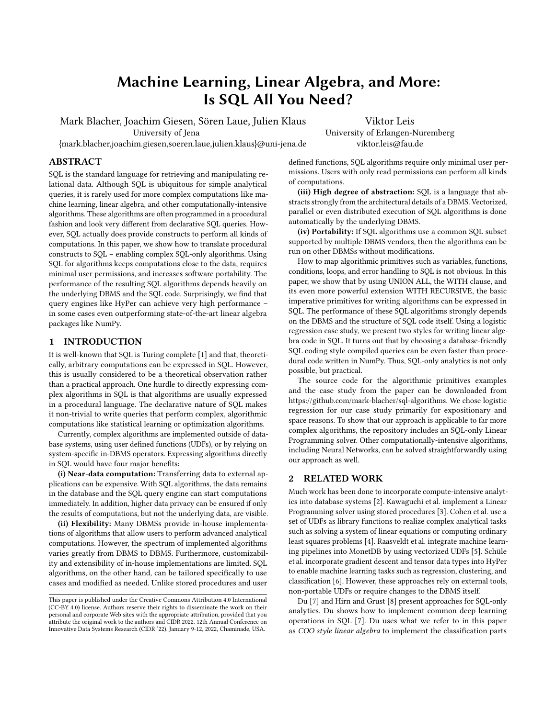# Machine Learning, Linear Algebra, and More: Is SQL All You Need?

Mark Blacher, Joachim Giesen, Sören Laue, Julien Klaus University of Jena

Viktor Leis University of Erlangen-Nuremberg viktor.leis@fau.de

{mark.blacher,joachim.giesen,soeren.laue,julien.klaus}@uni-jena.de

## ABSTRACT

SQL is the standard language for retrieving and manipulating relational data. Although SQL is ubiquitous for simple analytical queries, it is rarely used for more complex computations like machine learning, linear algebra, and other computationally-intensive algorithms. These algorithms are often programmed in a procedural fashion and look very different from declarative SQL queries. However, SQL actually does provide constructs to perform all kinds of computations. In this paper, we show how to translate procedural constructs to SQL – enabling complex SQL-only algorithms. Using SQL for algorithms keeps computations close to the data, requires minimal user permissions, and increases software portability. The performance of the resulting SQL algorithms depends heavily on the underlying DBMS and the SQL code. Surprisingly, we find that query engines like HyPer can achieve very high performance – in some cases even outperforming state-of-the-art linear algebra packages like NumPy.

# 1 INTRODUCTION

It is well-known that SQL is Turing complete [\[1\]](#page-5-0) and that, theoretically, arbitrary computations can be expressed in SQL. However, this is usually considered to be a theoretical observation rather than a practical approach. One hurdle to directly expressing complex algorithms in SQL is that algorithms are usually expressed in a procedural language. The declarative nature of SQL makes it non-trivial to write queries that perform complex, algorithmic computations like statistical learning or optimization algorithms.

Currently, complex algorithms are implemented outside of database systems, using user defined functions (UDFs), or by relying on system-specific in-DBMS operators. Expressing algorithms directly in SQL would have four major benefits:

(i) Near-data computation: Transferring data to external applications can be expensive. With SQL algorithms, the data remains in the database and the SQL query engine can start computations immediately. In addition, higher data privacy can be ensured if only the results of computations, but not the underlying data, are visible.

(ii) Flexibility: Many DBMSs provide in-house implementations of algorithms that allow users to perform advanced analytical computations. However, the spectrum of implemented algorithms varies greatly from DBMS to DBMS. Furthermore, customizability and extensibility of in-house implementations are limited. SQL algorithms, on the other hand, can be tailored specifically to use cases and modified as needed. Unlike stored procedures and user

defined functions, SQL algorithms require only minimal user permissions. Users with only read permissions can perform all kinds of computations.

(iii) High degree of abstraction: SQL is a language that abstracts strongly from the architectural details of a DBMS. Vectorized, parallel or even distributed execution of SQL algorithms is done automatically by the underlying DBMS.

(iv) Portability: If SQL algorithms use a common SQL subset supported by multiple DBMS vendors, then the algorithms can be run on other DBMSs without modifications.

How to map algorithmic primitives such as variables, functions, conditions, loops, and error handling to SQL is not obvious. In this paper, we show that by using UNION ALL, the WITH clause, and its even more powerful extension WITH RECURSIVE, the basic imperative primitives for writing algorithms can be expressed in SQL. The performance of these SQL algorithms strongly depends on the DBMS and the structure of SQL code itself. Using a logistic regression case study, we present two styles for writing linear algebra code in SQL. It turns out that by choosing a database-friendly SQL coding style compiled queries can be even faster than procedural code written in NumPy. Thus, SQL-only analytics is not only possible, but practical.

The source code for the algorithmic primitives examples and the case study from the paper can be downloaded from [https://github.com/mark-blacher/sql-algorithms.](https://github.com/mark-blacher/sql-algorithms) We chose logistic regression for our case study primarily for expositionary and space reasons. To show that our approach is applicable to far more complex algorithms, the repository includes an SQL-only Linear Programming solver. Other computationally-intensive algorithms, including Neural Networks, can be solved straightforwardly using our approach as well.

# 2 RELATED WORK

Much work has been done to incorporate compute-intensive analytics into database systems [\[2\]](#page-5-1). Kawaguchi et al. implement a Linear Programming solver using stored procedures [\[3\]](#page-5-2). Cohen et al. use a set of UDFs as library functions to realize complex analytical tasks such as solving a system of linear equations or computing ordinary least squares problems [\[4\]](#page-5-3). Raasveldt et al. integrate machine learning pipelines into MonetDB by using vectorized UDFs [\[5\]](#page-5-4). Schüle et al. incorporate gradient descent and tensor data types into HyPer to enable machine learning tasks such as regression, clustering, and classification [\[6\]](#page-5-5). However, these approaches rely on external tools, non-portable UDFs or require changes to the DBMS itself.

Du [\[7\]](#page-5-6) and Hirn and Grust [\[8\]](#page-5-7) present approaches for SQL-only analytics. Du shows how to implement common deep learning operations in SQL [\[7\]](#page-5-6). Du uses what we refer to in this paper as COO style linear algebra to implement the classification parts

This paper is published under the Creative Commons Attribution 4.0 International (CC-BY 4.0) license. Authors reserve their rights to disseminate the work on their personal and corporate Web sites with the appropriate attribution, provided that you attribute the original work to the authors and CIDR 2022. 12th Annual Conference on Innovative Data Systems Research (CIDR '22). January 9-12, 2022, Chaminade, USA.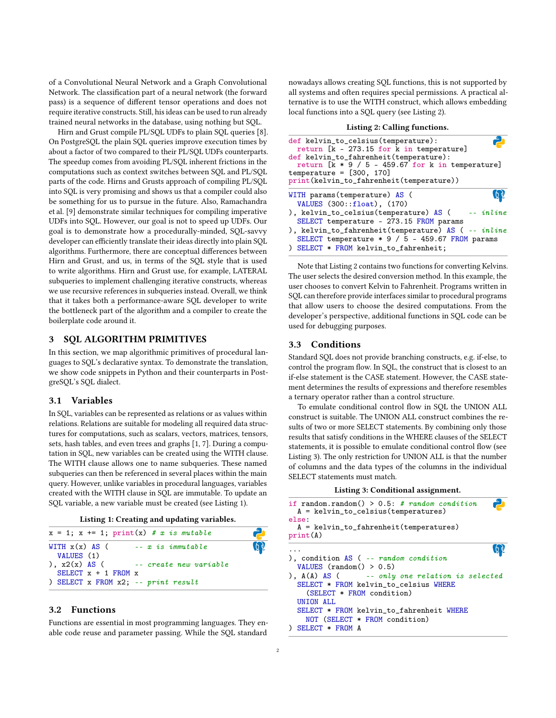of a Convolutional Neural Network and a Graph Convolutional Network. The classification part of a neural network (the forward pass) is a sequence of different tensor operations and does not require iterative constructs. Still, his ideas can be used to run already trained neural networks in the database, using nothing but SQL.

Hirn and Grust compile PL/SQL UDFs to plain SQL queries [\[8\]](#page-5-7). On PostgreSQL the plain SQL queries improve execution times by about a factor of two compared to their PL/SQL UDFs counterparts. The speedup comes from avoiding PL/SQL inherent frictions in the computations such as context switches between SQL and PL/SQL parts of the code. Hirns and Grusts approach of compiling PL/SQL into SQL is very promising and shows us that a compiler could also be something for us to pursue in the future. Also, Ramachandra et al. [\[9\]](#page-5-8) demonstrate similar techniques for compiling imperative UDFs into SQL. However, our goal is not to speed up UDFs. Our goal is to demonstrate how a procedurally-minded, SQL-savvy developer can efficiently translate their ideas directly into plain SQL algorithms. Furthermore, there are conceptual differences between Hirn and Grust, and us, in terms of the SQL style that is used to write algorithms. Hirn and Grust use, for example, LATERAL subqueries to implement challenging iterative constructs, whereas we use recursive references in subqueries instead. Overall, we think that it takes both a performance-aware SQL developer to write the bottleneck part of the algorithm and a compiler to create the boilerplate code around it.

# 3 SQL ALGORITHM PRIMITIVES

In this section, we map algorithmic primitives of procedural languages to SQL's declarative syntax. To demonstrate the translation, we show code snippets in Python and their counterparts in PostgreSQL's SQL dialect.

## 3.1 Variables

In SQL, variables can be represented as relations or as values within relations. Relations are suitable for modeling all required data structures for computations, such as scalars, vectors, matrices, tensors, sets, hash tables, and even trees and graphs [\[1,](#page-5-0) [7\]](#page-5-6). During a computation in SQL, new variables can be created using the WITH clause. The WITH clause allows one to name subqueries. These named subqueries can then be referenced in several places within the main query. However, unlike variables in procedural languages, variables created with the WITH clause in SQL are immutable. To update an SQL variable, a new variable must be created (see Listing [1\)](#page-1-0).

| Listing 1: Creating and updating variables. |  |  |
|---------------------------------------------|--|--|
|---------------------------------------------|--|--|

<span id="page-1-0"></span>

| $x = 1$ ; $x == 1$ ; $print(x) # x is mutable$ |                                                          |              |
|------------------------------------------------|----------------------------------------------------------|--------------|
| WITH $x(x)$ AS (<br>VALUES (1)                 | -- x is immutable                                        | $\mathbf{Q}$ |
| SELECT $x + 1$ FROM $x$                        | $\int x2(x)$ AS ( $\qquad -\epsilon$ create new variable |              |
| ) SELECT $x$ FROM $x2$ ; -- print result       |                                                          |              |

## 3.2 Functions

Functions are essential in most programming languages. They enable code reuse and parameter passing. While the SQL standard

nowadays allows creating SQL functions, this is not supported by all systems and often requires special permissions. A practical alternative is to use the WITH construct, which allows embedding local functions into a SQL query (see Listing [2\)](#page-1-1).

#### Listing 2: Calling functions.

<span id="page-1-1"></span>

| def kelvin_to_celsius(temperature):<br>return [k - 273.15 for k in temperature]<br>def kelvin_to_fahrenheit(temperature):<br>return $[k * 9 / 5 - 459.67$ for k in temperature]<br>temperature = $[300, 170]$<br>print(kelvin_to_fahrenheit(temperature)) |             |
|-----------------------------------------------------------------------------------------------------------------------------------------------------------------------------------------------------------------------------------------------------------|-------------|
| WITH params (temperature) AS (                                                                                                                                                                                                                            |             |
| VALUES (300::float), (170)                                                                                                                                                                                                                                |             |
| ), kelvin_to_celsius(temperature) AS (                                                                                                                                                                                                                    | $--$ inline |
| SELECT temperature - 273.15 FROM params                                                                                                                                                                                                                   |             |
| ), kelvin_to_fahrenheit(temperature) AS ( -- inline<br>SELECT temperature * 9 / 5 - 459.67 FROM params<br>) SELECT * FROM kelvin_to_fahrenheit;                                                                                                           |             |
|                                                                                                                                                                                                                                                           |             |

Note that Listing [2](#page-1-1) contains two functions for converting Kelvins. The user selects the desired conversion method. In this example, the user chooses to convert Kelvin to Fahrenheit. Programs written in SQL can therefore provide interfaces similar to procedural programs that allow users to choose the desired computations. From the developer's perspective, additional functions in SQL code can be used for debugging purposes.

## 3.3 Conditions

Standard SQL does not provide branching constructs, e.g. if-else, to control the program flow. In SQL, the construct that is closest to an if-else statement is the CASE statement. However, the CASE statement determines the results of expressions and therefore resembles a ternary operator rather than a control structure.

To emulate conditional control flow in SQL the UNION ALL construct is suitable. The UNION ALL construct combines the results of two or more SELECT statements. By combining only those results that satisfy conditions in the WHERE clauses of the SELECT statements, it is possible to emulate conditional control flow (see Listing [3\)](#page-1-2). The only restriction for UNION ALL is that the number of columns and the data types of the columns in the individual SELECT statements must match.

|  |  | Listing 3: Conditional assignment. |
|--|--|------------------------------------|
|--|--|------------------------------------|

<span id="page-1-2"></span>

| if random.random() > $0.5$ : # random condition<br>$A = kelvin_to_celsius(temperatures)$<br>else:<br>$A = kelvin_to_fahrenheit(temperatures)$<br>print(A) |  |
|-----------------------------------------------------------------------------------------------------------------------------------------------------------|--|
|                                                                                                                                                           |  |
| ), condition $AS$ ( -- random condition<br>VALUES $(random() > 0.5)$                                                                                      |  |
| $\lambda$ , A(A) AS ( $\sim$ -- only one relation is selected<br>SELECT * FROM kelvin to celsius WHERE<br>$(SELECT * FROM condition)$                     |  |
| <b>UNTON ALL.</b><br>SELECT * FROM kelvin_to_fahrenheit WHERE<br>NOT (SELECT * FROM condition)<br>$SFI.ECT$ $*$ FROM A                                    |  |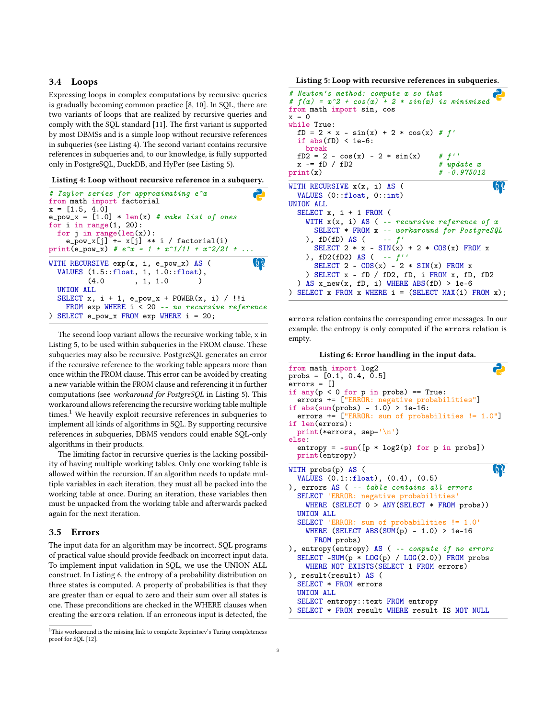## 3.4 Loops

Expressing loops in complex computations by recursive queries is gradually becoming common practice [\[8,](#page-5-7) [10\]](#page-5-9). In SQL, there are two variants of loops that are realized by recursive queries and comply with the SQL standard [\[11\]](#page-5-10). The first variant is supported by most DBMSs and is a simple loop without recursive references in subqueries (see Listing [4\)](#page-2-0). The second variant contains recursive references in subqueries and, to our knowledge, is fully supported only in PostgreSQL, DuckDB, and HyPer (see Listing [5\)](#page-2-1).

#### <span id="page-2-0"></span>Listing 4: Loop without recursive reference in a subquery.

```
# Taylor series for approximating e^x
from math import factorial
x = [1.5, 4.0]e_{\text{pow\_x}} = [1.0] * len(x) # make list of ones
for i in range(1, 20):
  for j in range(len(x)):
    e_{\text{pow_x}[j]} += x[j] ** i / factorial(i)
print(e_pow_x) # e^x = 1 + x^1/1! + x^2/2! + ...\OmegaWITH RECURSIVE exp(x, i, e_pow_x) AS (
  VALUES (1.5::float, 1, 1.0::float),
         (4.0, 1, 1.0)UNION ALL
  SELECT x, i + 1, e_{\text{pow\_}x} + POWER(x, i) / !!i
    FROM exp WHERE i < 20 -- no recursive reference
) SELECT e_pow_x FROM exp WHERE i = 20;
```
The second loop variant allows the recursive working table, x in Listing [5,](#page-2-1) to be used within subqueries in the FROM clause. These subqueries may also be recursive. PostgreSQL generates an error if the recursive reference to the working table appears more than once within the FROM clause. This error can be avoided by creating a new variable within the FROM clause and referencing it in further computations (see workaround for PostgreSQL in Listing [5\)](#page-2-1). This workaround allows referencing the recursive working table multiple times.<sup>[1](#page-2-2)</sup> We heavily exploit recursive references in subqueries to implement all kinds of algorithms in SQL. By supporting recursive references in subqueries, DBMS vendors could enable SQL-only algorithms in their products.

The limiting factor in recursive queries is the lacking possibility of having multiple working tables. Only one working table is allowed within the recursion. If an algorithm needs to update multiple variables in each iteration, they must all be packed into the working table at once. During an iteration, these variables then must be unpacked from the working table and afterwards packed again for the next iteration.

## 3.5 Errors

The input data for an algorithm may be incorrect. SQL programs of practical value should provide feedback on incorrect input data. To implement input validation in SQL, we use the UNION ALL construct. In Listing [6,](#page-2-3) the entropy of a probability distribution on three states is computed. A property of probabilities is that they are greater than or equal to zero and their sum over all states is one. These preconditions are checked in the WHERE clauses when creating the errors relation. If an erroneous input is detected, the

<span id="page-2-1"></span>Listing 5: Loop with recursive references in subqueries.

| # Newton's method: compute x so that                      |                             |
|-----------------------------------------------------------|-----------------------------|
| # $f(x) = x^2 + cos(x) + 2 * sin(x)$ is minimized         |                             |
| from math import sin, cos                                 |                             |
| $x = 0$                                                   |                             |
| while True:                                               |                             |
| $fD = 2 * x - sin(x) + 2 * cos(x) # f'$                   |                             |
| if $abs(fD) < 1e-6$ :                                     |                             |
| break                                                     |                             |
| $fD2 = 2 - cos(x) - 2 * sin(x)$ # f''<br>$x = fD / fD2$   |                             |
| print(x)                                                  | # update x<br>$# -0.975012$ |
|                                                           |                             |
| WITH RECURSIVE $x(x, i)$ AS (                             |                             |
| VALUES $(0::float, 0::int)$                               |                             |
| UNTON ALL.                                                |                             |
| SELECT $x$ , $i + 1$ FROM (                               |                             |
| WITH $x(x, i)$ AS ( -- recursive reference of x           |                             |
| SELECT * FROM x -- workaround for PostgreSQL              |                             |
| ), $fD(fD) AS$ ( $-f'$                                    |                             |
| SELECT $2 * x - SIN(x) + 2 * COS(x)$ FROM x               |                             |
| ), $fD2(fD2)$ AS ( -- $f'$                                |                             |
| SELECT 2 - $COS(x)$ - 2 * $SIN(x)$ FROM x                 |                             |
|                                                           |                             |
| ) SELECT $x - fD / fD2$ , fD, i FROM $x$ , fD, fD2        |                             |
| ) AS $x_new(x, fD, i)$ WHERE ABS(fD) > 1e-6               |                             |
| ) SELECT $x$ FROM $x$ WHERE $i = (SELECT MAX(i) FROM x);$ |                             |

errors relation contains the corresponding error messages. In our example, the entropy is only computed if the errors relation is empty.



<span id="page-2-3"></span>

| probs = $[0.1, 0.4, 0.5]$<br>errors = []           |
|----------------------------------------------------|
|                                                    |
| if any( $p < 0$ for $p$ in probs) == True:         |
| errors += ["ERROR: negative probabilities"]        |
| if $abs(sum(probs) - 1.0) > 1e-16$ :               |
| errors += ["ERROR: sum of probabilities != 1.0"]   |
| if len(errors):                                    |
| print (*errors, sep= $\ln$ )                       |
| else:                                              |
| $entropy = -sum([p * log2(p) for p in probs])$     |
| print (entropy)                                    |
| WITH probs(p) AS (                                 |
| VALUES $(0.1::float)$ , $(0.4)$ , $(0.5)$          |
| ), errors AS ( -- table contains all errors        |
| SELECT 'ERROR: negative probabilities'             |
| WHERE (SELECT $0 > ANY(SELECT * FROM probes)$ )    |
| <b>UNTON ALL</b>                                   |
| SELECT 'ERROR: sum of probabilities != 1.0'        |
| WHERE (SELECT ABS(SUM(p) - $1.0$ ) > 1e-16         |
| FROM probs)                                        |
| ), entropy (entropy) AS ( $-$ compute if no errors |
| SELECT -SUM( $p * LOG(p) / LGG(2.0)$ ) FROM probs  |
|                                                    |
| WHERE NOT EXISTS (SELECT 1 FROM errors)            |
| ), result(result) AS (                             |
| SELECT * FROM errors                               |
| UNION ALL                                          |
| SELECT entropy:: text FROM entropy                 |
| ) SELECT * FROM result WHERE result IS NOT NULL    |

<span id="page-2-2"></span><sup>&</sup>lt;sup>1</sup>This workaround is the missing link to complete Reprintsev's Turing completeness proof for SQL [\[12\]](#page-5-11).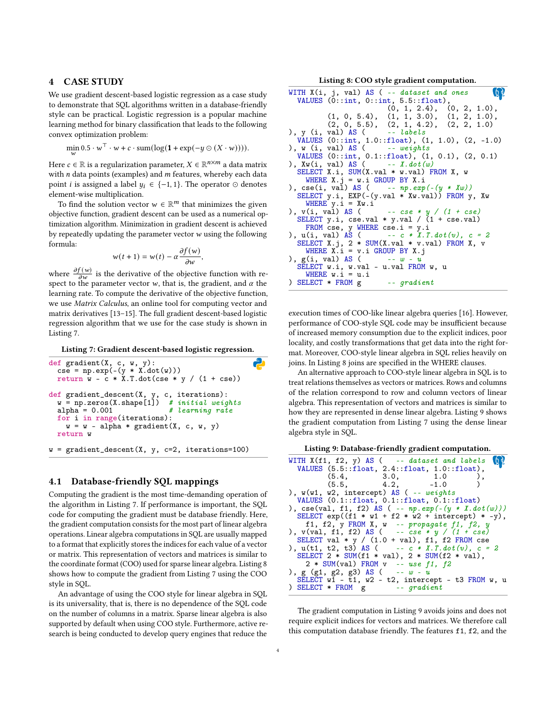#### 4 CASE STUDY

We use gradient descent-based logistic regression as a case study to demonstrate that SQL algorithms written in a database-friendly style can be practical. Logistic regression is a popular machine learning method for binary classification that leads to the following convex optimization problem:

$$
\min_{\mathbf{w}} 0.5 \cdot \mathbf{w}^{\top} \cdot \mathbf{w} + c \cdot \text{sum}(\log(\mathbf{1} + \exp(-y \odot (X \cdot \mathbf{w}))))
$$

Here  $c \in \mathbb{R}$  is a regularization parameter,  $X \in \mathbb{R}^{n \times m}$  a data matrix with  $n$  data points (examples) and  $m$  features, whereby each data point *i* is assigned a label  $y_i$  ∈ {-1, 1}. The operator ⊙ denotes element-wise multiplication.

To find the solution vector  $w \in \mathbb{R}^m$  that minimizes the given objective function, gradient descent can be used as a numerical optimization algorithm. Minimization in gradient descent is achieved by repeatedly updating the parameter vector  $w$  using the following formula:

$$
w(t+1) = w(t) - \alpha \frac{\partial f(w)}{\partial w},
$$

where  $\frac{\partial f(w)}{\partial w}$  is the derivative of the objective function with respect to the parameter vector w, that is, the gradient, and  $\alpha$  the learning rate. To compute the derivative of the objective function, we use Matrix Calculus, an online tool for computing vector and matrix derivatives [\[13](#page-5-12)[–15\]](#page-5-13). The full gradient descent-based logistic regression algorithm that we use for the case study is shown in Listing [7.](#page-3-0)

<span id="page-3-0"></span>Listing 7: Gradient descent-based logistic regression.

```
def gradient(X, c, w, y):
                                                      2
  cse = np.exp(-(y * X.dot(w)))return \bar{w} - \bar{c} * X.T.dot(cse * y / (1 + cse))
def gradient_descent(X, y, c, iterations):
  w = np.zeros(X.shape[1]) # initial weights<br>alpha = 0.001 # learning rate
  w = np.zeros(X.shape[1]) # initial weights
  for i in range(iterations):
    w = w - alpha * gradient(X, c, w, y)return w
w = gradient\_descent(X, y, c=2, iterations=100)
```
## 4.1 Database-friendly SQL mappings

Computing the gradient is the most time-demanding operation of the algorithm in Listing [7.](#page-3-0) If performance is important, the SQL code for computing the gradient must be database friendly. Here, the gradient computation consists for the most part of linear algebra operations. Linear algebra computations in SQL are usually mapped to a format that explicitly stores the indices for each value of a vector or matrix. This representation of vectors and matrices is similar to the coordinate format (COO) used for sparse linear algebra. Listing [8](#page-3-1) shows how to compute the gradient from Listing [7](#page-3-0) using the COO style in SQL.

An advantage of using the COO style for linear algebra in SQL is its universality, that is, there is no dependence of the SQL code on the number of columns in a matrix. Sparse linear algebra is also supported by default when using COO style. Furthermore, active research is being conducted to develop query engines that reduce the

Listing 8: COO style gradient computation.

<span id="page-3-1"></span>

| WITH $X(i, j, val)$ AS ( -- dataset and ones                                          |
|---------------------------------------------------------------------------------------|
| VALUES $(0::int, 0::int, 5:5::float),$                                                |
| (0, 1, 2.4), (0, 2, 1.0),                                                             |
| $(1, 0, 5.4), (1, 1, 3.0), (1, 2, 1.0),$                                              |
| (2, 0, 5.5), (2, 1, 4.2), (2, 2, 1.0)                                                 |
| ), $y$ (i, val) AS ( $-$ labels                                                       |
| VALUES $(0::int, 1.0::float), (1, 1.0), (2, -1.0)$                                    |
| ), $w$ (i, val) AS ( $-$ weights                                                      |
| VALUES $(0:int, 0.1::float), (1, 0.1), (2, 0.1)$                                      |
| ), $Xw(i, val) AS$ ( $- X.dot(w)$                                                     |
| SELECT X.i, SUM(X.val * w.val) FROM X, w                                              |
| WHERE $X \cdot j = w \cdot i$ GROUP BY $X \cdot i$                                    |
| ), $\csc(i, val)$ AS ( -- $np.\exp(- (y * Xw))$                                       |
| SELECT $y.i$ , EXP(-(y.val * Xw.val)) FROM $y$ , Xw                                   |
| WHERE $y.i = Xw.i$                                                                    |
| ), $v(i, val) AS$ ( -- $cse * y / (1 + cse)$                                          |
| SELECT y.i, cse.val * y.val / $(1 + \text{cse.val})$<br>FROM cse, y WHERE cse.i = y.i |
| ), $u(i, val) AS$ ( $-c * X.T.dot(v)$ , $c = 2$                                       |
| SELECT X.j, 2 * SUM(X.val * v.val) FROM X, v                                          |
| WHERE $X.i = v.i$ GROUP BY $X.j$                                                      |
| ), $g(i, val) AS$ ( $-v-u$                                                            |
| SELECT w.i, w.val - u.val FROM w, u                                                   |
| WHERE $w.i = u.i$                                                                     |
| $\sum$ SELECT * FROM g -- gradient                                                    |

execution times of COO-like linear algebra queries [\[16\]](#page-5-14). However, performance of COO-style SQL code may be insufficient because of increased memory consumption due to the explicit indices, poor locality, and costly transformations that get data into the right format. Moreover, COO-style linear algebra in SQL relies heavily on joins. In Listing [8](#page-3-1) joins are specified in the WHERE clauses.

An alternative approach to COO-style linear algebra in SQL is to treat relations themselves as vectors or matrices. Rows and columns of the relation correspond to row and column vectors of linear algebra. This representation of vectors and matrices is similar to how they are represented in dense linear algebra. Listing [9](#page-3-2) shows the gradient computation from Listing [7](#page-3-0) using the dense linear algebra style in SQL.

<span id="page-3-2"></span>

| WITH $X(f1, f2, y)$ AS ( $-$ dataset and labels $\{y\}$          |
|------------------------------------------------------------------|
| VALUES $(5.5::float, 2.4::float, 1.0::float),$                   |
| $(5.4, 3.0, 1.0)$ ,                                              |
| $(5.5, 4.2, -1.0)$                                               |
| ), $w(w1, w2,$ intercept) AS ( -- weights                        |
| VALUES $(0.1::float, 0.1::float, 0.1::float)$                    |
| ), $\csc(\text{val}, f1, f2)$ AS ( -- $np.\exp(-(y * X.dot(w)))$ |
| SELECT $exp((f1 * w1 + f2 * w2 + intercept) * -y)$ ,             |
| f1, f2, y FROM X, $w -$ - propagate f1, f2, y                    |
| ), $v(va1, f1, f2)$ AS ( -- $cse * y / (1 + cse)$                |
| SELECT val $*$ y / (1.0 + val), f1, f2 FROM cse                  |
| ), $u(t1, t2, t3)$ AS ( $-c * X.T.dot(v)$ , $c = 2$              |
| SELECT $2 * SUM(f1 * val)$ , $2 * SUM(f2 * val)$ ,               |
| $2 * SUM(va1)$ FROM v -- use $f1$ , $f2$                         |
| ), $g (g1, g2, g3)$ AS ( $-v-u$                                  |
| SELECT $w1 - t1$ , $w2 - t2$ , intercept - t3 FROM $w$ , u       |
| $\sum$ SELECT * FROM g -- gradient                               |

The gradient computation in Listing [9](#page-3-2) avoids joins and does not require explicit indices for vectors and matrices. We therefore call this computation database friendly. The features f1, f2, and the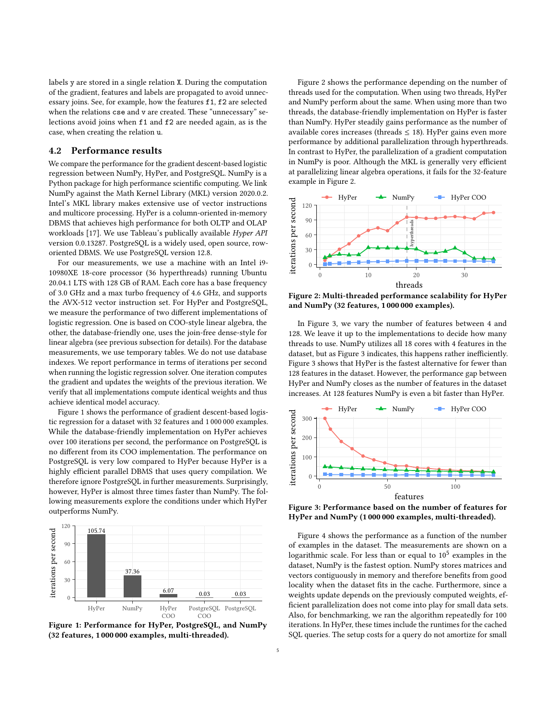labels y are stored in a single relation X. During the computation of the gradient, features and labels are propagated to avoid unnecessary joins. See, for example, how the features f1, f2 are selected when the relations cse and v are created. These "unnecessary" selections avoid joins when f1 and f2 are needed again, as is the case, when creating the relation u.

## 4.2 Performance results

We compare the performance for the gradient descent-based logistic regression between NumPy, HyPer, and PostgreSQL. NumPy is a Python package for high performance scientific computing. We link NumPy against the Math Kernel Library (MKL) version 2020.0.2. Intel's MKL library makes extensive use of vector instructions and multicore processing. HyPer is a column-oriented in-memory DBMS that achieves high performance for both OLTP and OLAP workloads [\[17\]](#page-5-15). We use Tableau's publically available Hyper API version 0.0.13287. PostgreSQL is a widely used, open source, roworiented DBMS. We use PostgreSQL version 12.8.

For our measurements, we use a machine with an Intel i9- 10980XE 18-core processor (36 hyperthreads) running Ubuntu 20.04.1 LTS with 128 GB of RAM. Each core has a base frequency of 3.0 GHz and a max turbo frequency of 4.6 GHz, and supports the AVX-512 vector instruction set. For HyPer and PostgreSQL, we measure the performance of two different implementations of logistic regression. One is based on COO-style linear algebra, the other, the database-friendly one, uses the join-free dense-style for linear algebra (see previous subsection for details). For the database measurements, we use temporary tables. We do not use database indexes. We report performance in terms of iterations per second when running the logistic regression solver. One iteration computes the gradient and updates the weights of the previous iteration. We verify that all implementations compute identical weights and thus achieve identical model accuracy.

Figure [1](#page-4-0) shows the performance of gradient descent-based logistic regression for a dataset with 32 features and 1 000 000 examples. While the database-friendly implementation on HyPer achieves over 100 iterations per second, the performance on PostgreSQL is no different from its COO implementation. The performance on PostgreSQL is very low compared to HyPer because HyPer is a highly efficient parallel DBMS that uses query compilation. We therefore ignore PostgreSQL in further measurements. Surprisingly, however, HyPer is almost three times faster than NumPy. The following measurements explore the conditions under which HyPer outperforms NumPy.

<span id="page-4-0"></span>

Figure 1: Performance for HyPer, PostgreSQL, and NumPy (32 features, 1 000 000 examples, multi-threaded).

Figure [2](#page-4-1) shows the performance depending on the number of threads used for the computation. When using two threads, HyPer and NumPy perform about the same. When using more than two threads, the database-friendly implementation on HyPer is faster than NumPy. HyPer steadily gains performance as the number of available cores increases (threads  $\leq$  18). HyPer gains even more performance by additional parallelization through hyperthreads. In contrast to HyPer, the parallelization of a gradient computation in NumPy is poor. Although the MKL is generally very efficient at parallelizing linear algebra operations, it fails for the 32-feature example in Figure [2.](#page-4-1)

<span id="page-4-1"></span>

Figure 2: Multi-threaded performance scalability for HyPer and NumPy (32 features, 1 000 000 examples).

In Figure [3,](#page-4-2) we vary the number of features between 4 and 128. We leave it up to the implementations to decide how many threads to use. NumPy utilizes all 18 cores with 4 features in the dataset, but as Figure [3](#page-4-2) indicates, this happens rather inefficiently. Figure [3](#page-4-2) shows that HyPer is the fastest alternative for fewer than 128 features in the dataset. However, the performance gap between HyPer and NumPy closes as the number of features in the dataset increases. At 128 features NumPy is even a bit faster than HyPer.

<span id="page-4-2"></span>

Figure 3: Performance based on the number of features for HyPer and NumPy (1 000 000 examples, multi-threaded).

Figure [4](#page-5-16) shows the performance as a function of the number of examples in the dataset. The measurements are shown on a logarithmic scale. For less than or equal to  $10^5$  examples in the dataset, NumPy is the fastest option. NumPy stores matrices and vectors contiguously in memory and therefore benefits from good locality when the dataset fits in the cache. Furthermore, since a weights update depends on the previously computed weights, efficient parallelization does not come into play for small data sets. Also, for benchmarking, we ran the algorithm repeatedly for 100 iterations. In HyPer, these times include the runtimes for the cached SQL queries. The setup costs for a query do not amortize for small